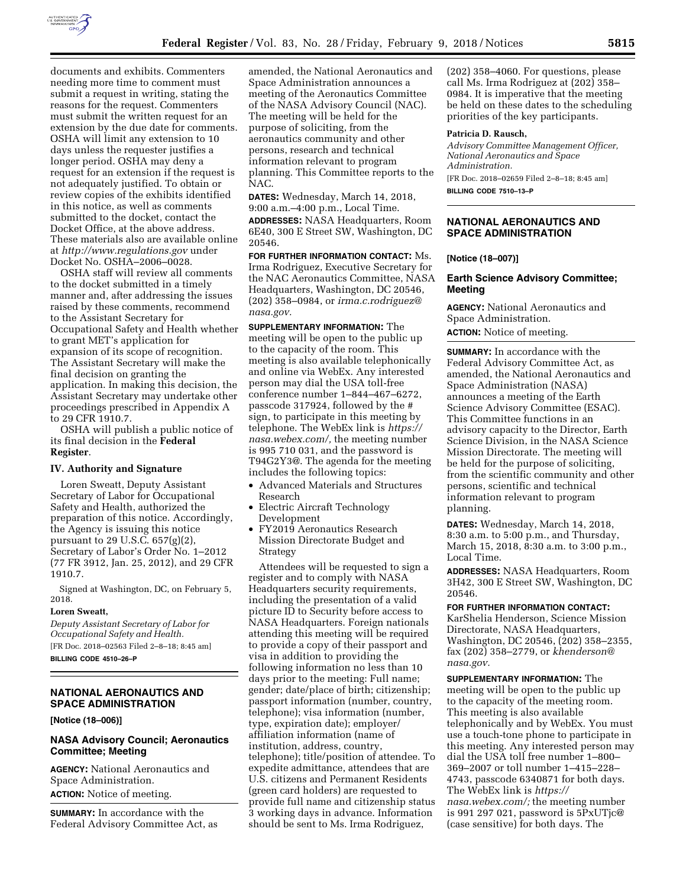

documents and exhibits. Commenters needing more time to comment must submit a request in writing, stating the reasons for the request. Commenters must submit the written request for an extension by the due date for comments. OSHA will limit any extension to 10 days unless the requester justifies a longer period. OSHA may deny a request for an extension if the request is not adequately justified. To obtain or review copies of the exhibits identified in this notice, as well as comments submitted to the docket, contact the Docket Office, at the above address. These materials also are available online at *<http://www.regulations.gov>* under Docket No. OSHA–2006–0028.

OSHA staff will review all comments to the docket submitted in a timely manner and, after addressing the issues raised by these comments, recommend to the Assistant Secretary for Occupational Safety and Health whether to grant MET's application for expansion of its scope of recognition. The Assistant Secretary will make the final decision on granting the application. In making this decision, the Assistant Secretary may undertake other proceedings prescribed in Appendix A to 29 CFR 1910.7.

OSHA will publish a public notice of its final decision in the **Federal Register**.

#### **IV. Authority and Signature**

Loren Sweatt, Deputy Assistant Secretary of Labor for Occupational Safety and Health, authorized the preparation of this notice. Accordingly, the Agency is issuing this notice pursuant to 29 U.S.C. 657(g)(2), Secretary of Labor's Order No. 1–2012 (77 FR 3912, Jan. 25, 2012), and 29 CFR 1910.7.

Signed at Washington, DC, on February 5, 2018.

#### **Loren Sweatt,**

*Deputy Assistant Secretary of Labor for Occupational Safety and Health.* 

[FR Doc. 2018–02563 Filed 2–8–18; 8:45 am]

**BILLING CODE 4510–26–P** 

### **NATIONAL AERONAUTICS AND SPACE ADMINISTRATION**

**[Notice (18–006)]** 

## **NASA Advisory Council; Aeronautics Committee; Meeting**

**AGENCY:** National Aeronautics and Space Administration. **ACTION:** Notice of meeting.

**SUMMARY:** In accordance with the Federal Advisory Committee Act, as

amended, the National Aeronautics and Space Administration announces a meeting of the Aeronautics Committee of the NASA Advisory Council (NAC). The meeting will be held for the purpose of soliciting, from the aeronautics community and other persons, research and technical information relevant to program planning. This Committee reports to the NAC.

**DATES:** Wednesday, March 14, 2018, 9:00 a.m.–4:00 p.m., Local Time.

**ADDRESSES:** NASA Headquarters, Room 6E40, 300 E Street SW, Washington, DC 20546.

**FOR FURTHER INFORMATION CONTACT:** Ms. Irma Rodriguez, Executive Secretary for the NAC Aeronautics Committee, NASA Headquarters, Washington, DC 20546, (202) 358–0984, or *[irma.c.rodriguez@](mailto:irma.c.rodriguez@nasa.gov) [nasa.gov.](mailto:irma.c.rodriguez@nasa.gov)* 

**SUPPLEMENTARY INFORMATION:** The meeting will be open to the public up to the capacity of the room. This meeting is also available telephonically and online via WebEx. Any interested person may dial the USA toll-free conference number 1–844–467–6272, passcode 317924, followed by the # sign, to participate in this meeting by telephone. The WebEx link is *[https://](https://nasa.webex.com/) [nasa.webex.com/,](https://nasa.webex.com/)* the meeting number is 995 710 031, and the password is T94G2Y3@. The agenda for the meeting includes the following topics:

- Advanced Materials and Structures Research
- Electric Aircraft Technology Development
- FY2019 Aeronautics Research Mission Directorate Budget and Strategy

Attendees will be requested to sign a register and to comply with NASA Headquarters security requirements, including the presentation of a valid picture ID to Security before access to NASA Headquarters. Foreign nationals attending this meeting will be required to provide a copy of their passport and visa in addition to providing the following information no less than 10 days prior to the meeting: Full name; gender; date/place of birth; citizenship; passport information (number, country, telephone); visa information (number, type, expiration date); employer/ affiliation information (name of institution, address, country, telephone); title/position of attendee. To expedite admittance, attendees that are U.S. citizens and Permanent Residents (green card holders) are requested to provide full name and citizenship status 3 working days in advance. Information should be sent to Ms. Irma Rodriguez,

(202) 358–4060. For questions, please call Ms. Irma Rodriguez at (202) 358– 0984. It is imperative that the meeting be held on these dates to the scheduling priorities of the key participants.

#### **Patricia D. Rausch,**

*Advisory Committee Management Officer, National Aeronautics and Space Administration.* 

[FR Doc. 2018–02659 Filed 2–8–18; 8:45 am] **BILLING CODE 7510–13–P** 

## **NATIONAL AERONAUTICS AND SPACE ADMINISTRATION**

#### **[Notice (18–007)]**

#### **Earth Science Advisory Committee; Meeting**

**AGENCY:** National Aeronautics and Space Administration. **ACTION:** Notice of meeting.

**SUMMARY:** In accordance with the Federal Advisory Committee Act, as amended, the National Aeronautics and Space Administration (NASA) announces a meeting of the Earth Science Advisory Committee (ESAC). This Committee functions in an advisory capacity to the Director, Earth Science Division, in the NASA Science Mission Directorate. The meeting will be held for the purpose of soliciting, from the scientific community and other persons, scientific and technical information relevant to program planning.

**DATES:** Wednesday, March 14, 2018, 8:30 a.m. to 5:00 p.m., and Thursday, March 15, 2018, 8:30 a.m. to 3:00 p.m., Local Time.

**ADDRESSES:** NASA Headquarters, Room 3H42, 300 E Street SW, Washington, DC 20546.

**FOR FURTHER INFORMATION CONTACT:**  KarShelia Henderson, Science Mission Directorate, NASA Headquarters, Washington, DC 20546, (202) 358–2355, fax (202) 358–2779, or *[khenderson@](mailto:khenderson@nasa.gov) [nasa.gov.](mailto:khenderson@nasa.gov)* 

**SUPPLEMENTARY INFORMATION:** The meeting will be open to the public up to the capacity of the meeting room. This meeting is also available telephonically and by WebEx. You must use a touch-tone phone to participate in this meeting. Any interested person may dial the USA toll free number 1–800– 369–2007 or toll number 1–415–228– 4743, passcode 6340871 for both days. The WebEx link is *[https://](https://nasa.webex.com/) [nasa.webex.com/;](https://nasa.webex.com/)* the meeting number is 991 297 021, password is 5PxUTjc@ (case sensitive) for both days. The